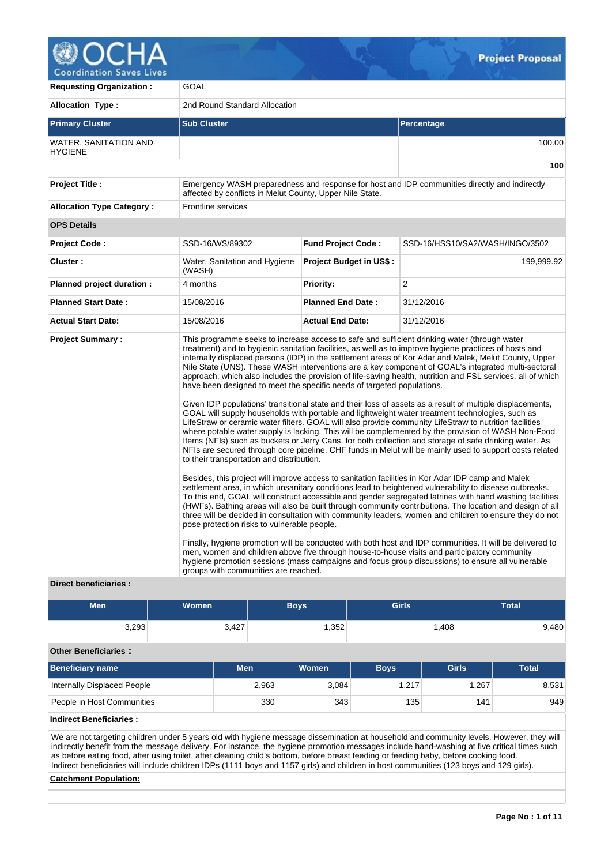

| <b>Requesting Organization:</b>                         | GOAL                                                                                                                                                                                                       |                                |                                                                                                                                                                                                                                                                                                                                                                                                                                                                                                                                                                                                                                                                                                                                                                                                                                                                                                                                                                                                                                                                                                                                                                                                                                                                                                                                                                                                                                                                                                                                                                                                                                                                                                                                                                                                                                                                                                                                                                                                                                                           |  |  |  |
|---------------------------------------------------------|------------------------------------------------------------------------------------------------------------------------------------------------------------------------------------------------------------|--------------------------------|-----------------------------------------------------------------------------------------------------------------------------------------------------------------------------------------------------------------------------------------------------------------------------------------------------------------------------------------------------------------------------------------------------------------------------------------------------------------------------------------------------------------------------------------------------------------------------------------------------------------------------------------------------------------------------------------------------------------------------------------------------------------------------------------------------------------------------------------------------------------------------------------------------------------------------------------------------------------------------------------------------------------------------------------------------------------------------------------------------------------------------------------------------------------------------------------------------------------------------------------------------------------------------------------------------------------------------------------------------------------------------------------------------------------------------------------------------------------------------------------------------------------------------------------------------------------------------------------------------------------------------------------------------------------------------------------------------------------------------------------------------------------------------------------------------------------------------------------------------------------------------------------------------------------------------------------------------------------------------------------------------------------------------------------------------------|--|--|--|
| <b>Allocation Type:</b>                                 | 2nd Round Standard Allocation                                                                                                                                                                              |                                |                                                                                                                                                                                                                                                                                                                                                                                                                                                                                                                                                                                                                                                                                                                                                                                                                                                                                                                                                                                                                                                                                                                                                                                                                                                                                                                                                                                                                                                                                                                                                                                                                                                                                                                                                                                                                                                                                                                                                                                                                                                           |  |  |  |
| <b>Primary Cluster</b>                                  | <b>Sub Cluster</b>                                                                                                                                                                                         |                                | Percentage                                                                                                                                                                                                                                                                                                                                                                                                                                                                                                                                                                                                                                                                                                                                                                                                                                                                                                                                                                                                                                                                                                                                                                                                                                                                                                                                                                                                                                                                                                                                                                                                                                                                                                                                                                                                                                                                                                                                                                                                                                                |  |  |  |
| <b>WATER, SANITATION AND</b><br><b>HYGIENE</b>          |                                                                                                                                                                                                            |                                | 100.00                                                                                                                                                                                                                                                                                                                                                                                                                                                                                                                                                                                                                                                                                                                                                                                                                                                                                                                                                                                                                                                                                                                                                                                                                                                                                                                                                                                                                                                                                                                                                                                                                                                                                                                                                                                                                                                                                                                                                                                                                                                    |  |  |  |
|                                                         |                                                                                                                                                                                                            |                                | 100                                                                                                                                                                                                                                                                                                                                                                                                                                                                                                                                                                                                                                                                                                                                                                                                                                                                                                                                                                                                                                                                                                                                                                                                                                                                                                                                                                                                                                                                                                                                                                                                                                                                                                                                                                                                                                                                                                                                                                                                                                                       |  |  |  |
| <b>Project Title:</b>                                   | affected by conflicts in Melut County, Upper Nile State.                                                                                                                                                   |                                | Emergency WASH preparedness and response for host and IDP communities directly and indirectly                                                                                                                                                                                                                                                                                                                                                                                                                                                                                                                                                                                                                                                                                                                                                                                                                                                                                                                                                                                                                                                                                                                                                                                                                                                                                                                                                                                                                                                                                                                                                                                                                                                                                                                                                                                                                                                                                                                                                             |  |  |  |
| <b>Allocation Type Category:</b>                        | Frontline services                                                                                                                                                                                         |                                |                                                                                                                                                                                                                                                                                                                                                                                                                                                                                                                                                                                                                                                                                                                                                                                                                                                                                                                                                                                                                                                                                                                                                                                                                                                                                                                                                                                                                                                                                                                                                                                                                                                                                                                                                                                                                                                                                                                                                                                                                                                           |  |  |  |
| <b>OPS Details</b>                                      |                                                                                                                                                                                                            |                                |                                                                                                                                                                                                                                                                                                                                                                                                                                                                                                                                                                                                                                                                                                                                                                                                                                                                                                                                                                                                                                                                                                                                                                                                                                                                                                                                                                                                                                                                                                                                                                                                                                                                                                                                                                                                                                                                                                                                                                                                                                                           |  |  |  |
| <b>Project Code:</b>                                    | SSD-16/WS/89302                                                                                                                                                                                            | <b>Fund Project Code:</b>      | SSD-16/HSS10/SA2/WASH/INGO/3502                                                                                                                                                                                                                                                                                                                                                                                                                                                                                                                                                                                                                                                                                                                                                                                                                                                                                                                                                                                                                                                                                                                                                                                                                                                                                                                                                                                                                                                                                                                                                                                                                                                                                                                                                                                                                                                                                                                                                                                                                           |  |  |  |
| Cluster:                                                | Water, Sanitation and Hygiene<br>(WASH)                                                                                                                                                                    | <b>Project Budget in US\$:</b> | 199,999.92                                                                                                                                                                                                                                                                                                                                                                                                                                                                                                                                                                                                                                                                                                                                                                                                                                                                                                                                                                                                                                                                                                                                                                                                                                                                                                                                                                                                                                                                                                                                                                                                                                                                                                                                                                                                                                                                                                                                                                                                                                                |  |  |  |
| Planned project duration :                              | 4 months                                                                                                                                                                                                   | <b>Priority:</b>               | 2                                                                                                                                                                                                                                                                                                                                                                                                                                                                                                                                                                                                                                                                                                                                                                                                                                                                                                                                                                                                                                                                                                                                                                                                                                                                                                                                                                                                                                                                                                                                                                                                                                                                                                                                                                                                                                                                                                                                                                                                                                                         |  |  |  |
| <b>Planned Start Date:</b>                              | 15/08/2016                                                                                                                                                                                                 | <b>Planned End Date:</b>       | 31/12/2016                                                                                                                                                                                                                                                                                                                                                                                                                                                                                                                                                                                                                                                                                                                                                                                                                                                                                                                                                                                                                                                                                                                                                                                                                                                                                                                                                                                                                                                                                                                                                                                                                                                                                                                                                                                                                                                                                                                                                                                                                                                |  |  |  |
| <b>Actual Start Date:</b>                               | 15/08/2016                                                                                                                                                                                                 | <b>Actual End Date:</b>        | 31/12/2016                                                                                                                                                                                                                                                                                                                                                                                                                                                                                                                                                                                                                                                                                                                                                                                                                                                                                                                                                                                                                                                                                                                                                                                                                                                                                                                                                                                                                                                                                                                                                                                                                                                                                                                                                                                                                                                                                                                                                                                                                                                |  |  |  |
| <b>Project Summary:</b><br><b>Direct beneficiaries:</b> | have been designed to meet the specific needs of targeted populations.<br>to their transportation and distribution.<br>pose protection risks to vulnerable people.<br>groups with communities are reached. |                                | This programme seeks to increase access to safe and sufficient drinking water (through water<br>treatment) and to hygienic sanitation facilities, as well as to improve hygiene practices of hosts and<br>internally displaced persons (IDP) in the settlement areas of Kor Adar and Malek, Melut County, Upper<br>Nile State (UNS). These WASH interventions are a key component of GOAL's integrated multi-sectoral<br>approach, which also includes the provision of life-saving health, nutrition and FSL services, all of which<br>Given IDP populations' transitional state and their loss of assets as a result of multiple displacements,<br>GOAL will supply households with portable and lightweight water treatment technologies, such as<br>LifeStraw or ceramic water filters. GOAL will also provide community LifeStraw to nutrition facilities<br>where potable water supply is lacking. This will be complemented by the provision of WASH Non-Food<br>Items (NFIs) such as buckets or Jerry Cans, for both collection and storage of safe drinking water. As<br>NFIs are secured through core pipeline, CHF funds in Melut will be mainly used to support costs related<br>Besides, this project will improve access to sanitation facilities in Kor Adar IDP camp and Malek<br>settlement area, in which unsanitary conditions lead to heightened vulnerability to disease outbreaks.<br>To this end, GOAL will construct accessible and gender segregated latrines with hand washing facilities<br>(HWFs). Bathing areas will also be built through community contributions. The location and design of all<br>three will be decided in consultation with community leaders, women and children to ensure they do not<br>Finally, hygiene promotion will be conducted with both host and IDP communities. It will be delivered to<br>men, women and children above five through house-to-house visits and participatory community<br>hygiene promotion sessions (mass campaigns and focus group discussions) to ensure all vulnerable |  |  |  |

| <b>Men</b>                  | <b>Women</b> | <b>Boys</b> | <b>Girls</b> | <b>Total</b> |
|-----------------------------|--------------|-------------|--------------|--------------|
| 3,293                       | 3,427        | ,352        | .408         | 9,480        |
| <b>Other Beneficiaries:</b> |              |             |              |              |

| Beneficiary name            | Men   | <b>Women</b> | <b>Boys</b> | <b>Girls</b> | Total |
|-----------------------------|-------|--------------|-------------|--------------|-------|
| Internally Displaced People | 2,963 | 3.084        | 1,217       | ,267         | 8,531 |
| People in Host Communities  | 330   | 343          | 135         | 141          | 949   |

**Indirect Beneficiaries :**

We are not targeting children under 5 years old with hygiene message dissemination at household and community levels. However, they will indirectly benefit from the message delivery. For instance, the hygiene promotion messages include hand-washing at five critical times such as before eating food, after using toilet, after cleaning child's bottom, before breast feeding or feeding baby, before cooking food. Indirect beneficiaries will include children IDPs (1111 boys and 1157 girls) and children in host communities (123 boys and 129 girls).

# **Catchment Population:**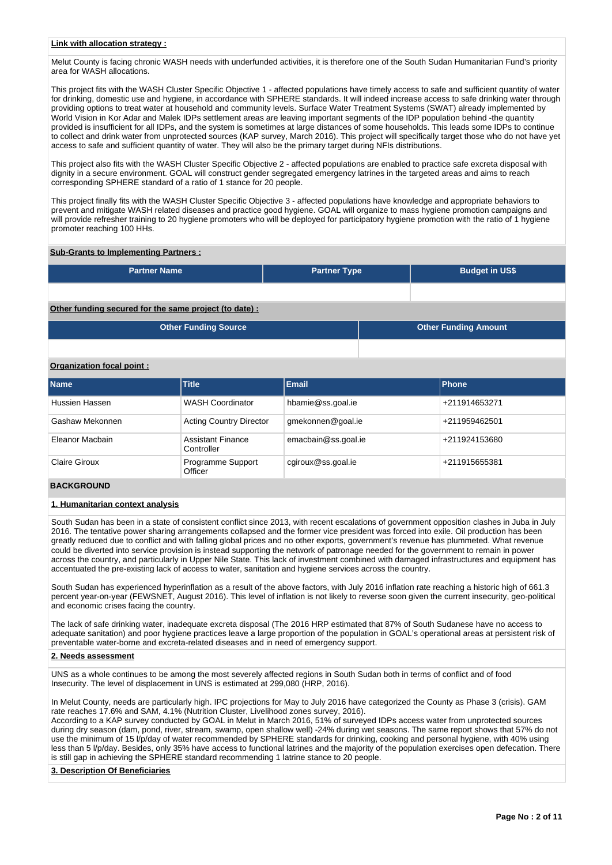Melut County is facing chronic WASH needs with underfunded activities, it is therefore one of the South Sudan Humanitarian Fund's priority area for WASH allocations.

This project fits with the WASH Cluster Specific Objective 1 - affected populations have timely access to safe and sufficient quantity of water for drinking, domestic use and hygiene, in accordance with SPHERE standards. It will indeed increase access to safe drinking water through providing options to treat water at household and community levels. Surface Water Treatment Systems (SWAT) already implemented by World Vision in Kor Adar and Malek IDPs settlement areas are leaving important segments of the IDP population behind -the quantity provided is insufficient for all IDPs, and the system is sometimes at large distances of some households. This leads some IDPs to continue to collect and drink water from unprotected sources (KAP survey, March 2016). This project will specifically target those who do not have yet access to safe and sufficient quantity of water. They will also be the primary target during NFIs distributions.

This project also fits with the WASH Cluster Specific Objective 2 - affected populations are enabled to practice safe excreta disposal with dignity in a secure environment. GOAL will construct gender segregated emergency latrines in the targeted areas and aims to reach corresponding SPHERE standard of a ratio of 1 stance for 20 people.

This project finally fits with the WASH Cluster Specific Objective 3 - affected populations have knowledge and appropriate behaviors to prevent and mitigate WASH related diseases and practice good hygiene. GOAL will organize to mass hygiene promotion campaigns and will provide refresher training to 20 hygiene promoters who will be deployed for participatory hygiene promotion with the ratio of 1 hygiene promoter reaching 100 HHs.

## **Sub-Grants to Implementing Partners :**

| <b>Partner Name</b> | <b>Partner Type</b> | <b>Budget in US\$</b> |
|---------------------|---------------------|-----------------------|
|                     |                     |                       |

## **Other funding secured for the same project (to date) :**

| <b>Other Funding Source</b> | <b>Other Funding Amount</b> |
|-----------------------------|-----------------------------|
|                             |                             |

# **Organization focal point :**

| <b>Name</b>     | <b>Title</b>                           | <b>Email</b>        | <b>Phone</b>  |
|-----------------|----------------------------------------|---------------------|---------------|
| Hussien Hassen  | <b>WASH Coordinator</b>                | hbamie@ss.goal.ie   | +211914653271 |
| Gashaw Mekonnen | <b>Acting Country Director</b>         | gmekonnen@goal.ie   | +211959462501 |
| Eleanor Macbain | <b>Assistant Finance</b><br>Controller | emacbain@ss.goal.ie | +211924153680 |
| Claire Giroux   | Programme Support<br>Officer           | cgiroux@ss.goal.ie  | +211915655381 |

## **BACKGROUND**

## **1. Humanitarian context analysis**

South Sudan has been in a state of consistent conflict since 2013, with recent escalations of government opposition clashes in Juba in July 2016. The tentative power sharing arrangements collapsed and the former vice president was forced into exile. Oil production has been greatly reduced due to conflict and with falling global prices and no other exports, government's revenue has plummeted. What revenue could be diverted into service provision is instead supporting the network of patronage needed for the government to remain in power across the country, and particularly in Upper Nile State. This lack of investment combined with damaged infrastructures and equipment has accentuated the pre-existing lack of access to water, sanitation and hygiene services across the country.

South Sudan has experienced hyperinflation as a result of the above factors, with July 2016 inflation rate reaching a historic high of 661.3 percent year-on-year (FEWSNET, August 2016). This level of inflation is not likely to reverse soon given the current insecurity, geo-political and economic crises facing the country.

The lack of safe drinking water, inadequate excreta disposal (The 2016 HRP estimated that 87% of South Sudanese have no access to adequate sanitation) and poor hygiene practices leave a large proportion of the population in GOAL's operational areas at persistent risk of preventable water-borne and excreta-related diseases and in need of emergency support.

## **2. Needs assessment**

UNS as a whole continues to be among the most severely affected regions in South Sudan both in terms of conflict and of food Insecurity. The level of displacement in UNS is estimated at 299,080 (HRP, 2016).

In Melut County, needs are particularly high. IPC projections for May to July 2016 have categorized the County as Phase 3 (crisis). GAM rate reaches 17.6% and SAM, 4.1% (Nutrition Cluster, Livelihood zones survey, 2016).

According to a KAP survey conducted by GOAL in Melut in March 2016, 51% of surveyed IDPs access water from unprotected sources during dry season (dam, pond, river, stream, swamp, open shallow well) -24% during wet seasons. The same report shows that 57% do not use the minimum of 15 l/p/day of water recommended by SPHERE standards for drinking, cooking and personal hygiene, with 40% using less than 5 l/p/day. Besides, only 35% have access to functional latrines and the majority of the population exercises open defecation. There is still gap in achieving the SPHERE standard recommending 1 latrine stance to 20 people.

## **3. Description Of Beneficiaries**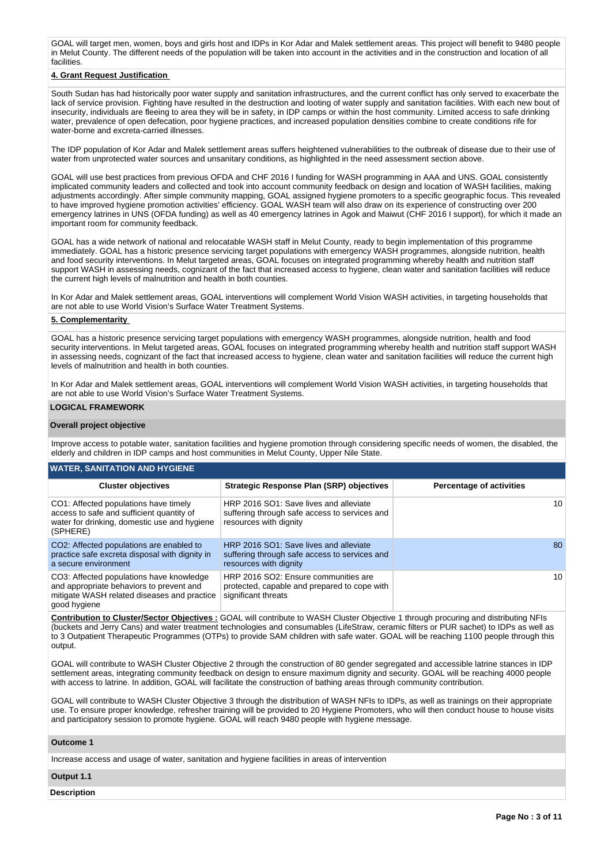GOAL will target men, women, boys and girls host and IDPs in Kor Adar and Malek settlement areas. This project will benefit to 9480 people in Melut County. The different needs of the population will be taken into account in the activities and in the construction and location of all facilities.

# **4. Grant Request Justification**

South Sudan has had historically poor water supply and sanitation infrastructures, and the current conflict has only served to exacerbate the lack of service provision. Fighting have resulted in the destruction and looting of water supply and sanitation facilities. With each new bout of insecurity, individuals are fleeing to area they will be in safety, in IDP camps or within the host community. Limited access to safe drinking water, prevalence of open defecation, poor hygiene practices, and increased population densities combine to create conditions rife for water-borne and excreta-carried illnesses.

The IDP population of Kor Adar and Malek settlement areas suffers heightened vulnerabilities to the outbreak of disease due to their use of water from unprotected water sources and unsanitary conditions, as highlighted in the need assessment section above.

GOAL will use best practices from previous OFDA and CHF 2016 I funding for WASH programming in AAA and UNS. GOAL consistently implicated community leaders and collected and took into account community feedback on design and location of WASH facilities, making adjustments accordingly. After simple community mapping, GOAL assigned hygiene promoters to a specific geographic focus. This revealed to have improved hygiene promotion activities' efficiency. GOAL WASH team will also draw on its experience of constructing over 200 emergency latrines in UNS (OFDA funding) as well as 40 emergency latrines in Agok and Maiwut (CHF 2016 I support), for which it made an important room for community feedback.

GOAL has a wide network of national and relocatable WASH staff in Melut County, ready to begin implementation of this programme immediately. GOAL has a historic presence servicing target populations with emergency WASH programmes, alongside nutrition, health and food security interventions. In Melut targeted areas, GOAL focuses on integrated programming whereby health and nutrition staff support WASH in assessing needs, cognizant of the fact that increased access to hygiene, clean water and sanitation facilities will reduce the current high levels of malnutrition and health in both counties.

In Kor Adar and Malek settlement areas, GOAL interventions will complement World Vision WASH activities, in targeting households that are not able to use World Vision's Surface Water Treatment Systems.

#### **5. Complementarity**

GOAL has a historic presence servicing target populations with emergency WASH programmes, alongside nutrition, health and food security interventions. In Melut targeted areas, GOAL focuses on integrated programming whereby health and nutrition staff support WASH in assessing needs, cognizant of the fact that increased access to hygiene, clean water and sanitation facilities will reduce the current high levels of malnutrition and health in both counties.

In Kor Adar and Malek settlement areas, GOAL interventions will complement World Vision WASH activities, in targeting households that are not able to use World Vision's Surface Water Treatment Systems.

#### **LOGICAL FRAMEWORK**

#### **Overall project objective**

Improve access to potable water, sanitation facilities and hygiene promotion through considering specific needs of women, the disabled, the elderly and children in IDP camps and host communities in Melut County, Upper Nile State.

| <b>Cluster objectives</b>                                                                                                                           | <b>Strategic Response Plan (SRP) objectives</b>                                                                   | <b>Percentage of activities</b> |
|-----------------------------------------------------------------------------------------------------------------------------------------------------|-------------------------------------------------------------------------------------------------------------------|---------------------------------|
| CO1: Affected populations have timely<br>access to safe and sufficient quantity of<br>water for drinking, domestic use and hygiene<br>(SPHERE)      | HRP 2016 SO1: Save lives and alleviate<br>suffering through safe access to services and<br>resources with dignity | 10                              |
| CO2: Affected populations are enabled to<br>practice safe excreta disposal with dignity in<br>a secure environment                                  | HRP 2016 SO1: Save lives and alleviate<br>suffering through safe access to services and<br>resources with dignity | 80                              |
| CO3: Affected populations have knowledge<br>and appropriate behaviors to prevent and<br>mitigate WASH related diseases and practice<br>good hygiene | HRP 2016 SO2: Ensure communities are<br>protected, capable and prepared to cope with<br>significant threats       | 10                              |

**Contribution to Cluster/Sector Objectives :** GOAL will contribute to WASH Cluster Objective 1 through procuring and distributing NFIs (buckets and Jerry Cans) and water treatment technologies and consumables (LifeStraw, ceramic filters or PUR sachet) to IDPs as well as to 3 Outpatient Therapeutic Programmes (OTPs) to provide SAM children with safe water. GOAL will be reaching 1100 people through this output.

GOAL will contribute to WASH Cluster Objective 2 through the construction of 80 gender segregated and accessible latrine stances in IDP settlement areas, integrating community feedback on design to ensure maximum dignity and security. GOAL will be reaching 4000 people with access to latrine. In addition, GOAL will facilitate the construction of bathing areas through community contribution.

GOAL will contribute to WASH Cluster Objective 3 through the distribution of WASH NFIs to IDPs, as well as trainings on their appropriate use. To ensure proper knowledge, refresher training will be provided to 20 Hygiene Promoters, who will then conduct house to house visits and participatory session to promote hygiene. GOAL will reach 9480 people with hygiene message.

#### **Outcome 1**

Increase access and usage of water, sanitation and hygiene facilities in areas of intervention

#### **Output 1.1**

**Description**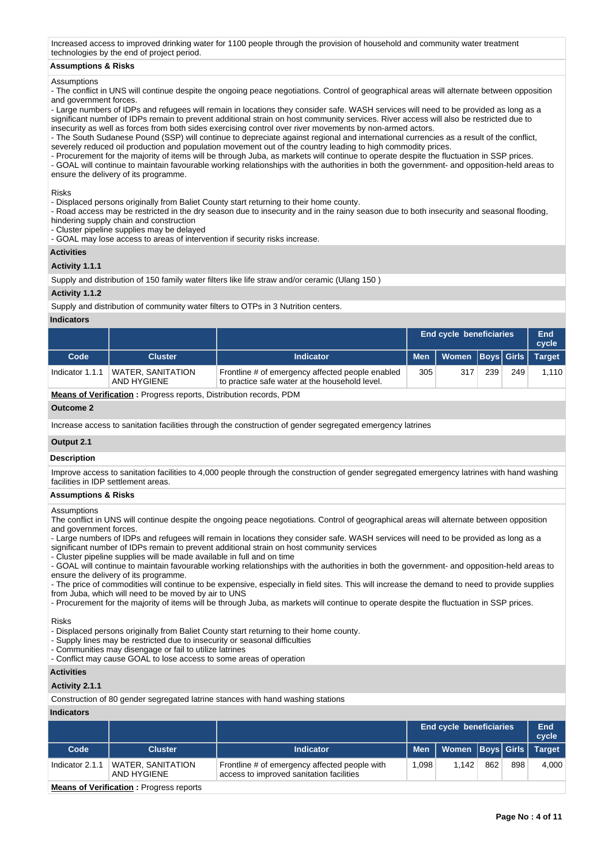Increased access to improved drinking water for 1100 people through the provision of household and community water treatment technologies by the end of project period.

### **Assumptions & Risks**

#### Assumptions

- The conflict in UNS will continue despite the ongoing peace negotiations. Control of geographical areas will alternate between opposition and government forces.

- Large numbers of IDPs and refugees will remain in locations they consider safe. WASH services will need to be provided as long as a significant number of IDPs remain to prevent additional strain on host community services. River access will also be restricted due to insecurity as well as forces from both sides exercising control over river movements by non-armed actors.

- The South Sudanese Pound (SSP) will continue to depreciate against regional and international currencies as a result of the conflict, severely reduced oil production and population movement out of the country leading to high commodity prices.

- Procurement for the majority of items will be through Juba, as markets will continue to operate despite the fluctuation in SSP prices. - GOAL will continue to maintain favourable working relationships with the authorities in both the government- and opposition-held areas to ensure the delivery of its programme.

Risks

- Displaced persons originally from Baliet County start returning to their home county.

- Road access may be restricted in the dry season due to insecurity and in the rainy season due to both insecurity and seasonal flooding, hindering supply chain and construction

- Cluster pipeline supplies may be delayed

- GOAL may lose access to areas of intervention if security risks increase.

#### **Activities**

## **Activity 1.1.1**

Supply and distribution of 150 family water filters like life straw and/or ceramic (Ulang 150 )

## **Activity 1.1.2**

Supply and distribution of community water filters to OTPs in 3 Nutrition centers.

## **Indicators**

|                 |                                         |                                                                                                    |            | <b>End cycle beneficiaries</b> |     |     | End<br>cycle |
|-----------------|-----------------------------------------|----------------------------------------------------------------------------------------------------|------------|--------------------------------|-----|-----|--------------|
| Code            | <b>Cluster</b>                          | <b>Indicator</b>                                                                                   | <b>Men</b> | Women   Boys   Girls   Target  |     |     |              |
| Indicator 1.1.1 | <b>WATER, SANITATION</b><br>AND HYGIENE | Frontline # of emergency affected people enabled<br>to practice safe water at the household level. | 305        | 317                            | 239 | 249 | 1,110        |
| $ -$            |                                         |                                                                                                    |            |                                |     |     |              |

**Means of Verification :** Progress reports, Distribution records, PDM

#### **Outcome 2**

Increase access to sanitation facilities through the construction of gender segregated emergency latrines

# **Output 2.1**

## **Description**

Improve access to sanitation facilities to 4,000 people through the construction of gender segregated emergency latrines with hand washing facilities in IDP settlement areas.

#### **Assumptions & Risks**

Assumptions

The conflict in UNS will continue despite the ongoing peace negotiations. Control of geographical areas will alternate between opposition and government forces.

- Large numbers of IDPs and refugees will remain in locations they consider safe. WASH services will need to be provided as long as a significant number of IDPs remain to prevent additional strain on host community services

- Cluster pipeline supplies will be made available in full and on time

- GOAL will continue to maintain favourable working relationships with the authorities in both the government- and opposition-held areas to ensure the delivery of its programme.

- The price of commodities will continue to be expensive, especially in field sites. This will increase the demand to need to provide supplies from Juba, which will need to be moved by air to UNS

- Procurement for the majority of items will be through Juba, as markets will continue to operate despite the fluctuation in SSP prices.

#### Risks

- Displaced persons originally from Baliet County start returning to their home county.

- Supply lines may be restricted due to insecurity or seasonal difficulties
- Communities may disengage or fail to utilize latrines

- Conflict may cause GOAL to lose access to some areas of operation

## **Activities**

#### **Activity 2.1.1**

Construction of 80 gender segregated latrine stances with hand washing stations

## **Indicators**

|                 |                                                |                                                                                           |            | <b>End cycle beneficiaries</b> |     |     | End<br>cycle  |  |
|-----------------|------------------------------------------------|-------------------------------------------------------------------------------------------|------------|--------------------------------|-----|-----|---------------|--|
| Code            | <b>Cluster</b>                                 | <b>Indicator</b>                                                                          | <b>Men</b> | Women   Boys   Girls           |     |     | <b>Target</b> |  |
| Indicator 2.1.1 | <b>WATER, SANITATION</b><br>AND HYGIENE        | Frontline # of emergency affected people with<br>access to improved sanitation facilities | 1.098      | 1.142                          | 862 | 898 | 4,000         |  |
|                 | <b>Means of Verification:</b> Progress reports |                                                                                           |            |                                |     |     |               |  |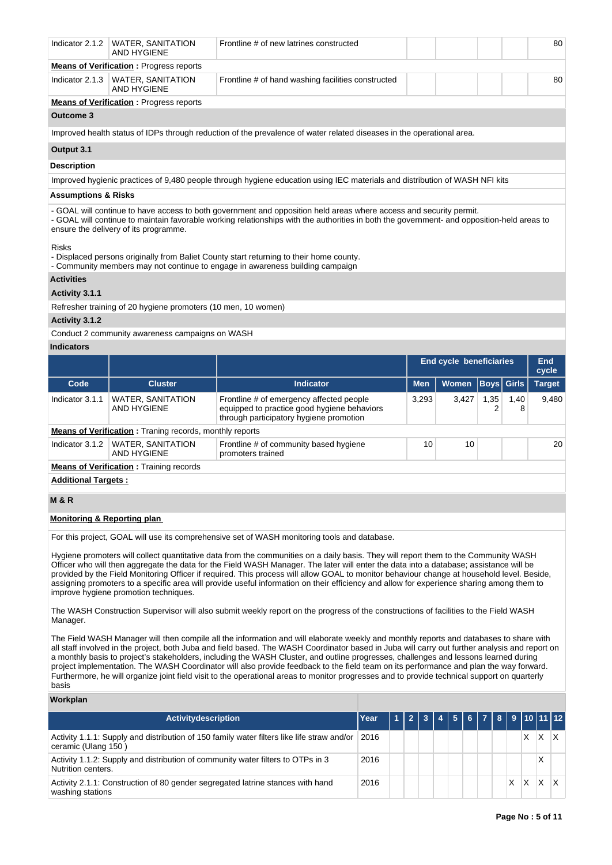|                                | Indicator 2.1.2   WATER, SANITATION<br><b>AND HYGIENE</b>     | Frontline # of new latrines constructed                                                                                                                                                                                                                          |  |  | 80 |
|--------------------------------|---------------------------------------------------------------|------------------------------------------------------------------------------------------------------------------------------------------------------------------------------------------------------------------------------------------------------------------|--|--|----|
|                                | <b>Means of Verification:</b> Progress reports                |                                                                                                                                                                                                                                                                  |  |  |    |
| Indicator 2.1.3                | WATER, SANITATION<br><b>AND HYGIENE</b>                       | Frontline # of hand washing facilities constructed                                                                                                                                                                                                               |  |  | 80 |
|                                | <b>Means of Verification:</b> Progress reports                |                                                                                                                                                                                                                                                                  |  |  |    |
| <b>Outcome 3</b>               |                                                               |                                                                                                                                                                                                                                                                  |  |  |    |
|                                |                                                               | Improved health status of IDPs through reduction of the prevalence of water related diseases in the operational area.                                                                                                                                            |  |  |    |
| Output 3.1                     |                                                               |                                                                                                                                                                                                                                                                  |  |  |    |
| <b>Description</b>             |                                                               |                                                                                                                                                                                                                                                                  |  |  |    |
|                                |                                                               | Improved hygienic practices of 9,480 people through hygiene education using IEC materials and distribution of WASH NFI kits                                                                                                                                      |  |  |    |
| <b>Assumptions &amp; Risks</b> |                                                               |                                                                                                                                                                                                                                                                  |  |  |    |
|                                | ensure the delivery of its programme.                         | - GOAL will continue to have access to both government and opposition held areas where access and security permit.<br>- GOAL will continue to maintain favorable working relationships with the authorities in both the government- and opposition-held areas to |  |  |    |
| <b>Risks</b>                   |                                                               | - Displaced persons originally from Baliet County start returning to their home county.<br>- Community members may not continue to engage in awareness building campaign                                                                                         |  |  |    |
| <b>Activities</b>              |                                                               |                                                                                                                                                                                                                                                                  |  |  |    |
| Activity 3.1.1                 |                                                               |                                                                                                                                                                                                                                                                  |  |  |    |
|                                | Refresher training of 20 hygiene promoters (10 men, 10 women) |                                                                                                                                                                                                                                                                  |  |  |    |

# **Activity 3.1.2**

Conduct 2 community awareness campaigns on WASH

## **Indicators**

|                                                |                                                                |                                                                                                                                    | End cycle beneficiaries |              |                   | End<br>cycle |               |  |
|------------------------------------------------|----------------------------------------------------------------|------------------------------------------------------------------------------------------------------------------------------------|-------------------------|--------------|-------------------|--------------|---------------|--|
| Code                                           | <b>Cluster</b>                                                 | <b>Indicator</b>                                                                                                                   | <b>Men</b>              | <b>Women</b> | <b>Boys Girls</b> |              | <b>Target</b> |  |
| Indicator 3.1.1                                | WATER, SANITATION<br>AND HYGIENE                               | Frontline # of emergency affected people<br>equipped to practice good hygiene behaviors<br>through participatory hygiene promotion | 3.293                   | 3.427        | 1.35              | 1,40<br>8    | 9.480         |  |
|                                                | <b>Means of Verification:</b> Traning records, monthly reports |                                                                                                                                    |                         |              |                   |              |               |  |
| Indicator 3.1.2                                | <b>WATER, SANITATION</b><br>AND HYGIENE                        | Frontline # of community based hygiene<br>promoters trained                                                                        | 10                      | 10           |                   |              | 20            |  |
| <b>Means of Verification:</b> Training records |                                                                |                                                                                                                                    |                         |              |                   |              |               |  |
| <b>Additional Targets:</b>                     |                                                                |                                                                                                                                    |                         |              |                   |              |               |  |

# **M & R**

# **Monitoring & Reporting plan**

For this project, GOAL will use its comprehensive set of WASH monitoring tools and database.

Hygiene promoters will collect quantitative data from the communities on a daily basis. They will report them to the Community WASH Officer who will then aggregate the data for the Field WASH Manager. The later will enter the data into a database; assistance will be provided by the Field Monitoring Officer if required. This process will allow GOAL to monitor behaviour change at household level. Beside, assigning promoters to a specific area will provide useful information on their efficiency and allow for experience sharing among them to improve hygiene promotion techniques.

The WASH Construction Supervisor will also submit weekly report on the progress of the constructions of facilities to the Field WASH Manager.

The Field WASH Manager will then compile all the information and will elaborate weekly and monthly reports and databases to share with all staff involved in the project, both Juba and field based. The WASH Coordinator based in Juba will carry out further analysis and report on a monthly basis to project's stakeholders, including the WASH Cluster, and outline progresses, challenges and lessons learned during project implementation. The WASH Coordinator will also provide feedback to the field team on its performance and plan the way forward. Furthermore, he will organize joint field visit to the operational areas to monitor progresses and to provide technical support on quarterly basis

## **Workplan**

| <b>Activitydescription</b>                                                                                             | Year |  | 2 3 4 5 6 7 8 9 10 11 12 |  |  |   |   |  |
|------------------------------------------------------------------------------------------------------------------------|------|--|--------------------------|--|--|---|---|--|
| Activity 1.1.1: Supply and distribution of 150 family water filters like life straw and/or 2016<br>ceramic (Ulang 150) |      |  |                          |  |  |   | х |  |
| Activity 1.1.2: Supply and distribution of community water filters to OTPs in 3<br>Nutrition centers.                  | 2016 |  |                          |  |  |   | X |  |
| Activity 2.1.1: Construction of 80 gender segregated latrine stances with hand<br>washing stations                     | 2016 |  |                          |  |  | X |   |  |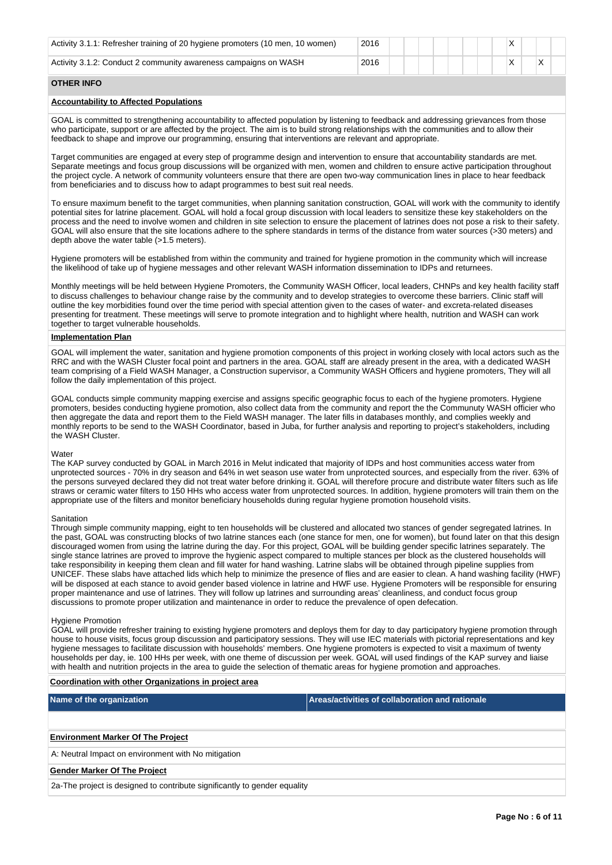| Activity 3.1.1: Refresher training of 20 hygiene promoters (10 men, 10 women) | 2016 |  |
|-------------------------------------------------------------------------------|------|--|
| Activity 3.1.2: Conduct 2 community awareness campaigns on WASH               | 2016 |  |

# **OTHER INFO**

## **Accountability to Affected Populations**

GOAL is committed to strengthening accountability to affected population by listening to feedback and addressing grievances from those who participate, support or are affected by the project. The aim is to build strong relationships with the communities and to allow their feedback to shape and improve our programming, ensuring that interventions are relevant and appropriate.

Target communities are engaged at every step of programme design and intervention to ensure that accountability standards are met. Separate meetings and focus group discussions will be organized with men, women and children to ensure active participation throughout the project cycle. A network of community volunteers ensure that there are open two-way communication lines in place to hear feedback from beneficiaries and to discuss how to adapt programmes to best suit real needs.

To ensure maximum benefit to the target communities, when planning sanitation construction, GOAL will work with the community to identify potential sites for latrine placement. GOAL will hold a focal group discussion with local leaders to sensitize these key stakeholders on the process and the need to involve women and children in site selection to ensure the placement of latrines does not pose a risk to their safety. GOAL will also ensure that the site locations adhere to the sphere standards in terms of the distance from water sources (>30 meters) and depth above the water table (>1.5 meters).

Hygiene promoters will be established from within the community and trained for hygiene promotion in the community which will increase the likelihood of take up of hygiene messages and other relevant WASH information dissemination to IDPs and returnees.

Monthly meetings will be held between Hygiene Promoters, the Community WASH Officer, local leaders, CHNPs and key health facility staff to discuss challenges to behaviour change raise by the community and to develop strategies to overcome these barriers. Clinic staff will outline the key morbidities found over the time period with special attention given to the cases of water- and excreta-related diseases presenting for treatment. These meetings will serve to promote integration and to highlight where health, nutrition and WASH can work together to target vulnerable households.

## **Implementation Plan**

GOAL will implement the water, sanitation and hygiene promotion components of this project in working closely with local actors such as the RRC and with the WASH Cluster focal point and partners in the area. GOAL staff are already present in the area, with a dedicated WASH team comprising of a Field WASH Manager, a Construction supervisor, a Community WASH Officers and hygiene promoters, They will all follow the daily implementation of this project.

GOAL conducts simple community mapping exercise and assigns specific geographic focus to each of the hygiene promoters. Hygiene promoters, besides conducting hygiene promotion, also collect data from the community and report the the Communuty WASH officier who then aggregate the data and report them to the Field WASH manager. The later fills in databases monthly, and complies weekly and monthly reports to be send to the WASH Coordinator, based in Juba, for further analysis and reporting to project's stakeholders, including the WASH Cluster.

# **Water**

The KAP survey conducted by GOAL in March 2016 in Melut indicated that majority of IDPs and host communities access water from unprotected sources - 70% in dry season and 64% in wet season use water from unprotected sources, and especially from the river. 63% of the persons surveyed declared they did not treat water before drinking it. GOAL will therefore procure and distribute water filters such as life straws or ceramic water filters to 150 HHs who access water from unprotected sources. In addition, hygiene promoters will train them on the appropriate use of the filters and monitor beneficiary households during regular hygiene promotion household visits.

#### **Sanitation**

Through simple community mapping, eight to ten households will be clustered and allocated two stances of gender segregated latrines. In the past, GOAL was constructing blocks of two latrine stances each (one stance for men, one for women), but found later on that this design discouraged women from using the latrine during the day. For this project, GOAL will be building gender specific latrines separately. The single stance latrines are proved to improve the hygienic aspect compared to multiple stances per block as the clustered households will take responsibility in keeping them clean and fill water for hand washing. Latrine slabs will be obtained through pipeline supplies from UNICEF. These slabs have attached lids which help to minimize the presence of flies and are easier to clean. A hand washing facility (HWF) will be disposed at each stance to avoid gender based violence in latrine and HWF use. Hygiene Promoters will be responsible for ensuring proper maintenance and use of latrines. They will follow up latrines and surrounding areas' cleanliness, and conduct focus group discussions to promote proper utilization and maintenance in order to reduce the prevalence of open defecation.

### Hygiene Promotion

GOAL will provide refresher training to existing hygiene promoters and deploys them for day to day participatory hygiene promotion through house to house visits, focus group discussion and participatory sessions. They will use IEC materials with pictorial representations and key hygiene messages to facilitate discussion with households' members. One hygiene promoters is expected to visit a maximum of twenty households per day, ie. 100 HHs per week, with one theme of discussion per week. GOAL will used findings of the KAP survey and liaise with health and nutrition projects in the area to guide the selection of thematic areas for hygiene promotion and approaches.

## **Coordination with other Organizations in project area**

| Name of the organization                 | Areas/activities of collaboration and rationale |
|------------------------------------------|-------------------------------------------------|
|                                          |                                                 |
| <b>Environment Marker Of The Project</b> |                                                 |

A: Neutral Impact on environment with No mitigation

#### **Gender Marker Of The Project**

2a-The project is designed to contribute significantly to gender equality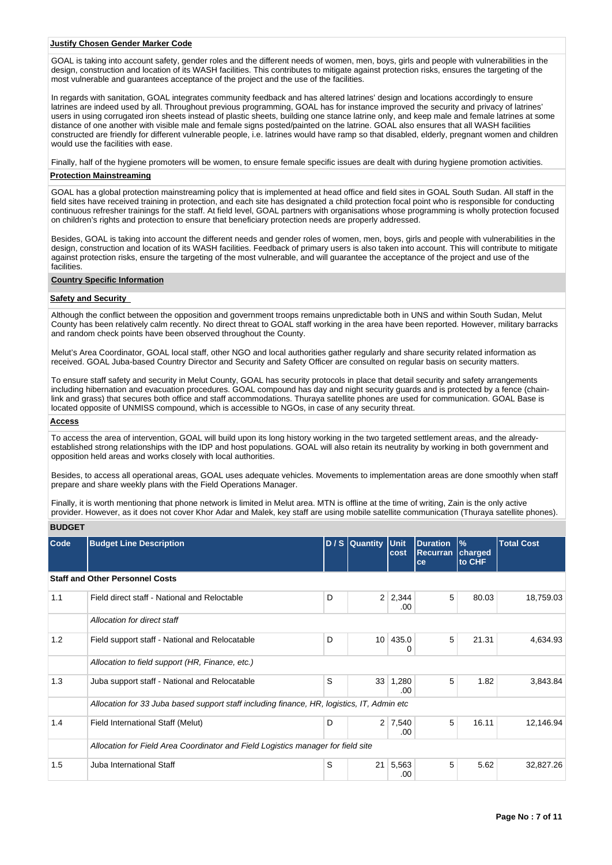#### **Justify Chosen Gender Marker Code**

GOAL is taking into account safety, gender roles and the different needs of women, men, boys, girls and people with vulnerabilities in the design, construction and location of its WASH facilities. This contributes to mitigate against protection risks, ensures the targeting of the most vulnerable and guarantees acceptance of the project and the use of the facilities.

In regards with sanitation, GOAL integrates community feedback and has altered latrines' design and locations accordingly to ensure latrines are indeed used by all. Throughout previous programming, GOAL has for instance improved the security and privacy of latrines' users in using corrugated iron sheets instead of plastic sheets, building one stance latrine only, and keep male and female latrines at some distance of one another with visible male and female signs posted/painted on the latrine. GOAL also ensures that all WASH facilities constructed are friendly for different vulnerable people, i.e. latrines would have ramp so that disabled, elderly, pregnant women and children would use the facilities with ease.

Finally, half of the hygiene promoters will be women, to ensure female specific issues are dealt with during hygiene promotion activities.

#### **Protection Mainstreaming**

GOAL has a global protection mainstreaming policy that is implemented at head office and field sites in GOAL South Sudan. All staff in the field sites have received training in protection, and each site has designated a child protection focal point who is responsible for conducting continuous refresher trainings for the staff. At field level, GOAL partners with organisations whose programming is wholly protection focused on children's rights and protection to ensure that beneficiary protection needs are properly addressed.

Besides, GOAL is taking into account the different needs and gender roles of women, men, boys, girls and people with vulnerabilities in the design, construction and location of its WASH facilities. Feedback of primary users is also taken into account. This will contribute to mitigate against protection risks, ensure the targeting of the most vulnerable, and will guarantee the acceptance of the project and use of the facilities.

#### **Country Specific Information**

## **Safety and Security**

Although the conflict between the opposition and government troops remains unpredictable both in UNS and within South Sudan, Melut County has been relatively calm recently. No direct threat to GOAL staff working in the area have been reported. However, military barracks and random check points have been observed throughout the County.

Melut's Area Coordinator, GOAL local staff, other NGO and local authorities gather regularly and share security related information as received. GOAL Juba-based Country Director and Security and Safety Officer are consulted on regular basis on security matters.

To ensure staff safety and security in Melut County, GOAL has security protocols in place that detail security and safety arrangements including hibernation and evacuation procedures. GOAL compound has day and night security guards and is protected by a fence (chainlink and grass) that secures both office and staff accommodations. Thuraya satellite phones are used for communication. GOAL Base is located opposite of UNMISS compound, which is accessible to NGOs, in case of any security threat.

# **Access**

To access the area of intervention, GOAL will build upon its long history working in the two targeted settlement areas, and the alreadyestablished strong relationships with the IDP and host populations. GOAL will also retain its neutrality by working in both government and opposition held areas and works closely with local authorities.

Besides, to access all operational areas, GOAL uses adequate vehicles. Movements to implementation areas are done smoothly when staff prepare and share weekly plans with the Field Operations Manager.

Finally, it is worth mentioning that phone network is limited in Melut area. MTN is offline at the time of writing, Zain is the only active provider. However, as it does not cover Khor Adar and Malek, key staff are using mobile satellite communication (Thuraya satellite phones).

# **BUDGET**

| Code | <b>Budget Line Description</b>                                                             |   | D / S Quantity Unit | cost                  | <b>Duration</b><br><b>Recurran</b><br>ce | $\frac{9}{6}$<br>charged<br>to CHF | <b>Total Cost</b> |
|------|--------------------------------------------------------------------------------------------|---|---------------------|-----------------------|------------------------------------------|------------------------------------|-------------------|
|      | <b>Staff and Other Personnel Costs</b>                                                     |   |                     |                       |                                          |                                    |                   |
| 1.1  | Field direct staff - National and Reloctable                                               | D |                     | $2 \mid 2,344$<br>.00 | 5                                        | 80.03                              | 18,759.03         |
|      | Allocation for direct staff                                                                |   |                     |                       |                                          |                                    |                   |
| 1.2  | Field support staff - National and Relocatable                                             | D |                     | 10 435.0              | 5                                        | 21.31                              | 4,634.93          |
|      | Allocation to field support (HR, Finance, etc.)                                            |   |                     |                       |                                          |                                    |                   |
| 1.3  | Juba support staff - National and Relocatable                                              | S |                     | 33 1,280<br>.00       | 5                                        | 1.82                               | 3,843.84          |
|      | Allocation for 33 Juba based support staff including finance, HR, logistics, IT, Admin etc |   |                     |                       |                                          |                                    |                   |
| 1.4  | Field International Staff (Melut)                                                          | D |                     | $2 \mid 7,540$<br>.00 | 5                                        | 16.11                              | 12,146.94         |
|      | Allocation for Field Area Coordinator and Field Logistics manager for field site           |   |                     |                       |                                          |                                    |                   |
| 1.5  | Juba International Staff                                                                   | S | 21                  | 5,563<br>.00          | 5                                        | 5.62                               | 32,827.26         |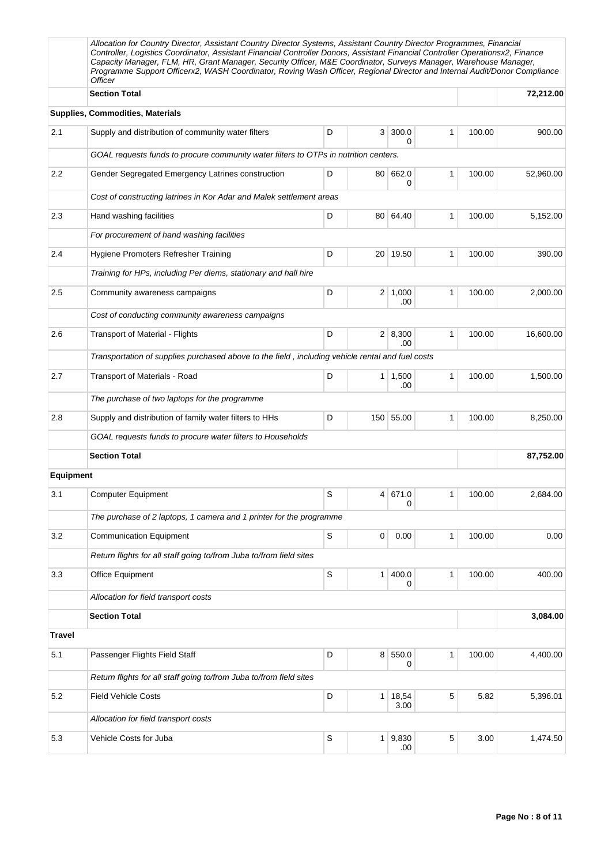|                  | Allocation for Country Director, Assistant Country Director Systems, Assistant Country Director Programmes, Financial<br>Controller, Logistics Coordinator, Assistant Financial Controller Donors, Assistant Financial Controller Operationsx2, Finance<br>Capacity Manager, FLM, HR, Grant Manager, Security Officer, M&E Coordinator, Surveys Manager, Warehouse Manager,<br>Programme Support Officerx2, WASH Coordinator, Roving Wash Officer, Regional Director and Internal Audit/Donor Compliance<br><b>Officer</b> |   |                |                       |   |        |           |
|------------------|----------------------------------------------------------------------------------------------------------------------------------------------------------------------------------------------------------------------------------------------------------------------------------------------------------------------------------------------------------------------------------------------------------------------------------------------------------------------------------------------------------------------------|---|----------------|-----------------------|---|--------|-----------|
|                  | <b>Section Total</b>                                                                                                                                                                                                                                                                                                                                                                                                                                                                                                       |   |                |                       |   |        | 72,212.00 |
|                  | <b>Supplies, Commodities, Materials</b>                                                                                                                                                                                                                                                                                                                                                                                                                                                                                    |   |                |                       |   |        |           |
| 2.1              | Supply and distribution of community water filters                                                                                                                                                                                                                                                                                                                                                                                                                                                                         | D | 3              | 300.0<br>0            | 1 | 100.00 | 900.00    |
|                  | GOAL requests funds to procure community water filters to OTPs in nutrition centers.                                                                                                                                                                                                                                                                                                                                                                                                                                       |   |                |                       |   |        |           |
| 2.2              | Gender Segregated Emergency Latrines construction                                                                                                                                                                                                                                                                                                                                                                                                                                                                          | D | 80             | 662.0<br>0            | 1 | 100.00 | 52,960.00 |
|                  | Cost of constructing latrines in Kor Adar and Malek settlement areas                                                                                                                                                                                                                                                                                                                                                                                                                                                       |   |                |                       |   |        |           |
| 2.3              | Hand washing facilities                                                                                                                                                                                                                                                                                                                                                                                                                                                                                                    | D |                | 80 64.40              | 1 | 100.00 | 5,152.00  |
|                  | For procurement of hand washing facilities                                                                                                                                                                                                                                                                                                                                                                                                                                                                                 |   |                |                       |   |        |           |
| 2.4              | Hygiene Promoters Refresher Training                                                                                                                                                                                                                                                                                                                                                                                                                                                                                       | D |                | 20 19.50              | 1 | 100.00 | 390.00    |
|                  | Training for HPs, including Per diems, stationary and hall hire                                                                                                                                                                                                                                                                                                                                                                                                                                                            |   |                |                       |   |        |           |
| 2.5              | Community awareness campaigns                                                                                                                                                                                                                                                                                                                                                                                                                                                                                              | D | 2 <sup>1</sup> | 1,000<br>.00          | 1 | 100.00 | 2,000.00  |
|                  | Cost of conducting community awareness campaigns                                                                                                                                                                                                                                                                                                                                                                                                                                                                           |   |                |                       |   |        |           |
| 2.6              | <b>Transport of Material - Flights</b>                                                                                                                                                                                                                                                                                                                                                                                                                                                                                     | D |                | 2   8,300<br>.00      | 1 | 100.00 | 16,600.00 |
|                  | Transportation of supplies purchased above to the field, including vehicle rental and fuel costs                                                                                                                                                                                                                                                                                                                                                                                                                           |   |                |                       |   |        |           |
| 2.7              | Transport of Materials - Road                                                                                                                                                                                                                                                                                                                                                                                                                                                                                              | D |                | $1 \mid 1,500$<br>.00 | 1 | 100.00 | 1,500.00  |
|                  | The purchase of two laptops for the programme                                                                                                                                                                                                                                                                                                                                                                                                                                                                              |   |                |                       |   |        |           |
| 2.8              | Supply and distribution of family water filters to HHs                                                                                                                                                                                                                                                                                                                                                                                                                                                                     | D |                | 150 55.00             | 1 | 100.00 | 8,250.00  |
|                  | GOAL requests funds to procure water filters to Households                                                                                                                                                                                                                                                                                                                                                                                                                                                                 |   |                |                       |   |        |           |
|                  | <b>Section Total</b>                                                                                                                                                                                                                                                                                                                                                                                                                                                                                                       |   |                |                       |   |        | 87,752.00 |
| <b>Equipment</b> |                                                                                                                                                                                                                                                                                                                                                                                                                                                                                                                            |   |                |                       |   |        |           |
| 3.1              | <b>Computer Equipment</b>                                                                                                                                                                                                                                                                                                                                                                                                                                                                                                  | S |                | 4 671.0<br>0          | 1 | 100.00 | 2,684.00  |
|                  | The purchase of 2 laptops, 1 camera and 1 printer for the programme                                                                                                                                                                                                                                                                                                                                                                                                                                                        |   |                |                       |   |        |           |
| 3.2              | <b>Communication Equipment</b>                                                                                                                                                                                                                                                                                                                                                                                                                                                                                             | S | 0              | 0.00                  | 1 | 100.00 | 0.00      |
|                  | Return flights for all staff going to/from Juba to/from field sites                                                                                                                                                                                                                                                                                                                                                                                                                                                        |   |                |                       |   |        |           |
| 3.3              | Office Equipment                                                                                                                                                                                                                                                                                                                                                                                                                                                                                                           | S | 1 <sup>1</sup> | 400.0<br>0            | 1 | 100.00 | 400.00    |
|                  | Allocation for field transport costs                                                                                                                                                                                                                                                                                                                                                                                                                                                                                       |   |                |                       |   |        |           |
|                  | <b>Section Total</b>                                                                                                                                                                                                                                                                                                                                                                                                                                                                                                       |   |                |                       |   |        | 3,084.00  |
| <b>Travel</b>    |                                                                                                                                                                                                                                                                                                                                                                                                                                                                                                                            |   |                |                       |   |        |           |
| 5.1              | Passenger Flights Field Staff                                                                                                                                                                                                                                                                                                                                                                                                                                                                                              | D | 8 <sup>1</sup> | 550.0<br>0            | 1 | 100.00 | 4,400.00  |
|                  | Return flights for all staff going to/from Juba to/from field sites                                                                                                                                                                                                                                                                                                                                                                                                                                                        |   |                |                       |   |        |           |
| 5.2              | <b>Field Vehicle Costs</b>                                                                                                                                                                                                                                                                                                                                                                                                                                                                                                 | D | 1 <sup>1</sup> | 18,54<br>3.00         | 5 | 5.82   | 5,396.01  |
|                  | Allocation for field transport costs                                                                                                                                                                                                                                                                                                                                                                                                                                                                                       |   |                |                       |   |        |           |
| 5.3              | Vehicle Costs for Juba                                                                                                                                                                                                                                                                                                                                                                                                                                                                                                     | S |                | $1 \, 9,830$<br>.00   | 5 | 3.00   | 1,474.50  |